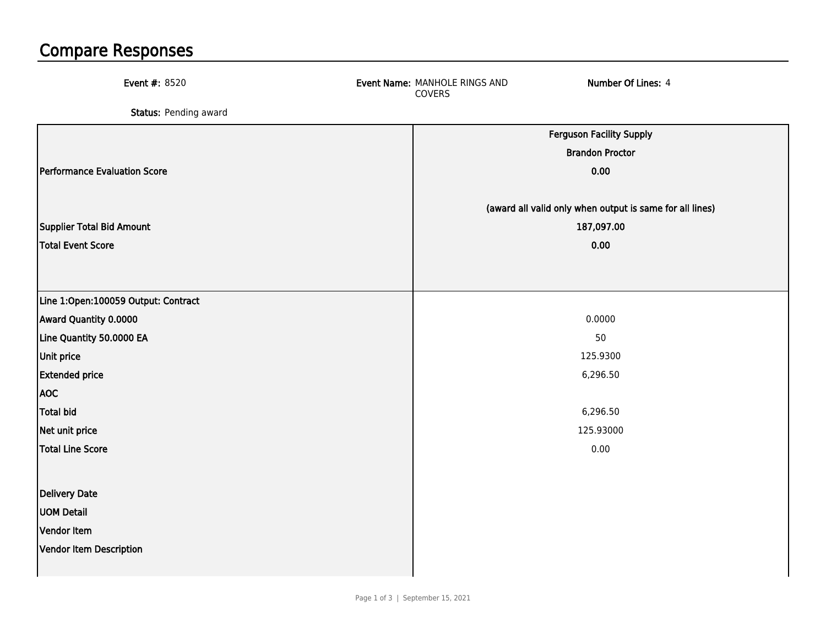## Compare Responses

| Event #: 8520                       | Event Name: MANHOLE RINGS AND<br>COVERS | Number Of Lines: 4                                       |
|-------------------------------------|-----------------------------------------|----------------------------------------------------------|
| Status: Pending award               |                                         |                                                          |
|                                     |                                         | <b>Ferguson Facility Supply</b>                          |
|                                     |                                         | <b>Brandon Proctor</b>                                   |
| Performance Evaluation Score        |                                         | 0.00                                                     |
|                                     |                                         |                                                          |
|                                     |                                         | (award all valid only when output is same for all lines) |
| Supplier Total Bid Amount           |                                         | 187,097.00                                               |
| Total Event Score                   |                                         | 0.00                                                     |
|                                     |                                         |                                                          |
| Line 1:Open:100059 Output: Contract |                                         |                                                          |
| Award Quantity 0.0000               |                                         | 0.0000                                                   |
| Line Quantity 50.0000 EA            |                                         | 50                                                       |
| <b>Unit price</b>                   |                                         | 125.9300                                                 |
| <b>Extended price</b>               |                                         | 6,296.50                                                 |
| <b>AOC</b>                          |                                         |                                                          |
| <b>Total bid</b>                    |                                         | 6,296.50                                                 |
| Net unit price                      |                                         | 125.93000                                                |
| <b>Total Line Score</b>             |                                         | 0.00                                                     |
|                                     |                                         |                                                          |
| Delivery Date                       |                                         |                                                          |
| <b>UOM Detail</b>                   |                                         |                                                          |
| Vendor Item                         |                                         |                                                          |
| Vendor Item Description             |                                         |                                                          |
|                                     |                                         |                                                          |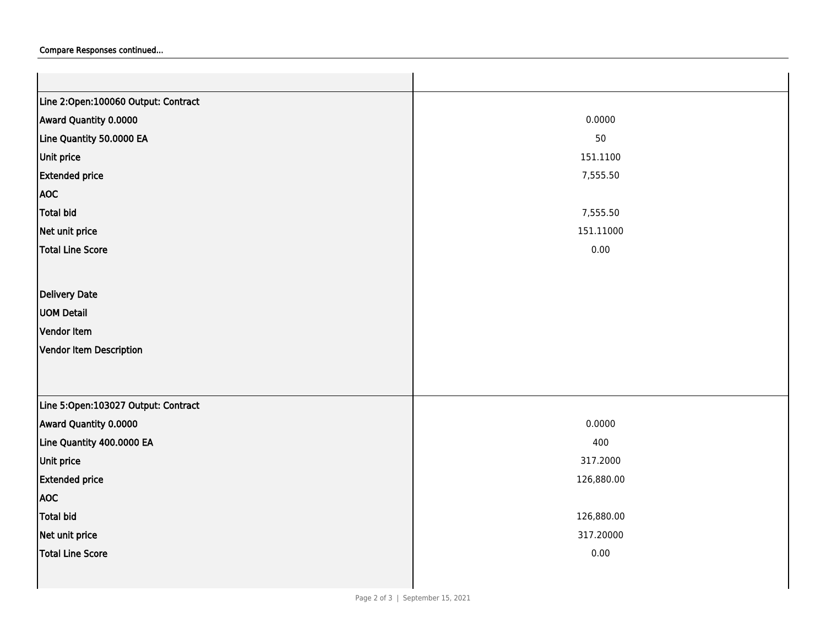## Compare Responses continued...

| Line 2:Open:100060 Output: Contract |            |  |
|-------------------------------------|------------|--|
| Award Quantity 0.0000               | 0.0000     |  |
| Line Quantity 50.0000 EA            | 50         |  |
| Unit price                          | 151.1100   |  |
| <b>Extended price</b>               | 7,555.50   |  |
| <b>AOC</b>                          |            |  |
| Total bid                           | 7,555.50   |  |
| Net unit price                      | 151.11000  |  |
| <b>Total Line Score</b>             | 0.00       |  |
|                                     |            |  |
| Delivery Date                       |            |  |
| <b>UOM Detail</b>                   |            |  |
| Vendor Item                         |            |  |
| Vendor Item Description             |            |  |
|                                     |            |  |
|                                     |            |  |
| Line 5:Open:103027 Output: Contract |            |  |
| Award Quantity 0.0000               | 0.0000     |  |
| Line Quantity 400.0000 EA           | 400        |  |
| Unit price                          | 317.2000   |  |
| <b>Extended price</b>               | 126,880.00 |  |
| <b>AOC</b>                          |            |  |
| <b>Total bid</b>                    | 126,880.00 |  |
| Net unit price                      | 317.20000  |  |
| <b>Total Line Score</b>             | 0.00       |  |
|                                     |            |  |